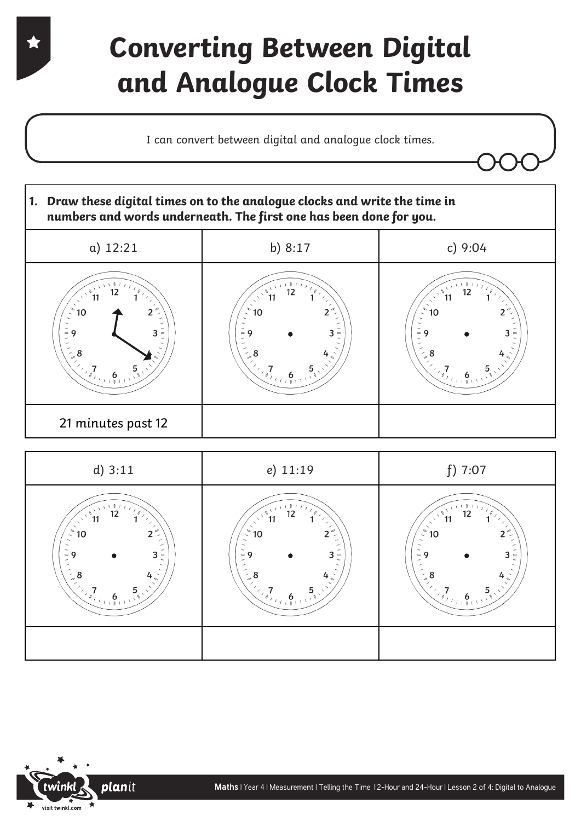## **Converting Between Digital and Analogue Clock Times**

I can convert between digital and analogue clock times.





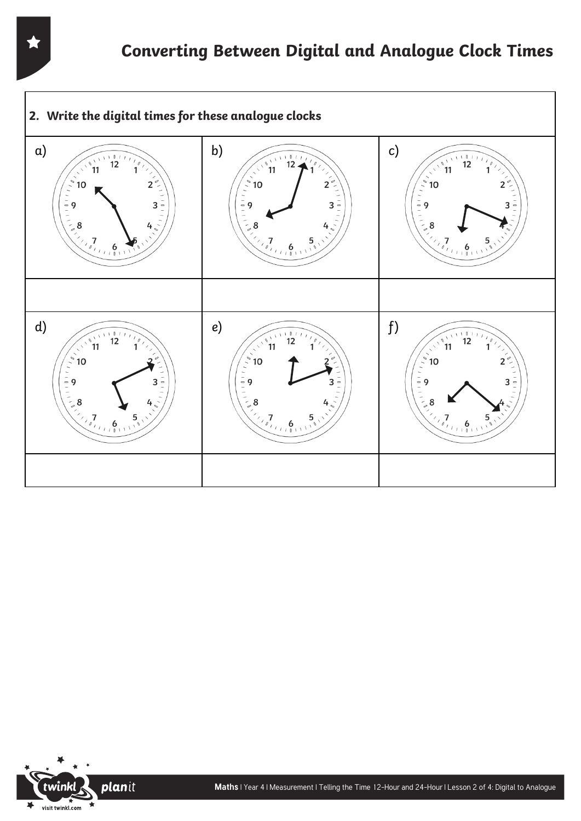

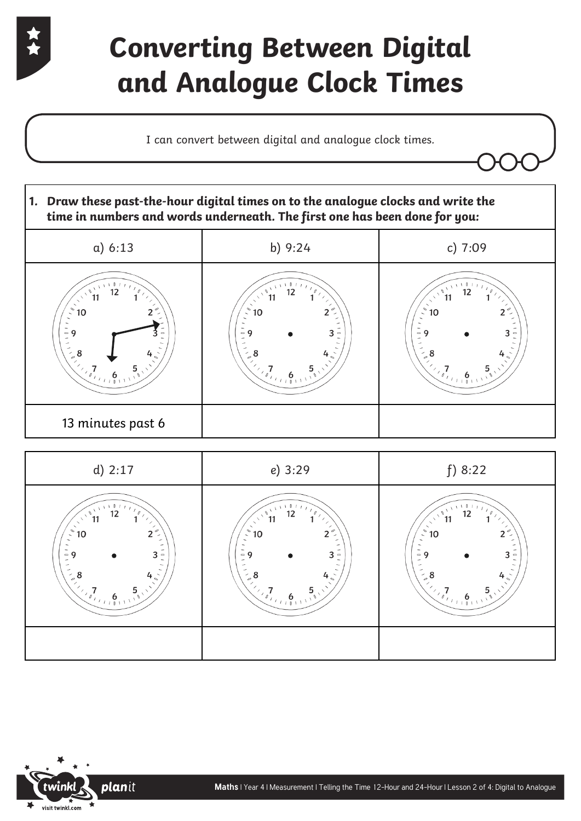

## **Converting Between Digital and Analogue Clock Times**

I can convert between digital and analogue clock times.





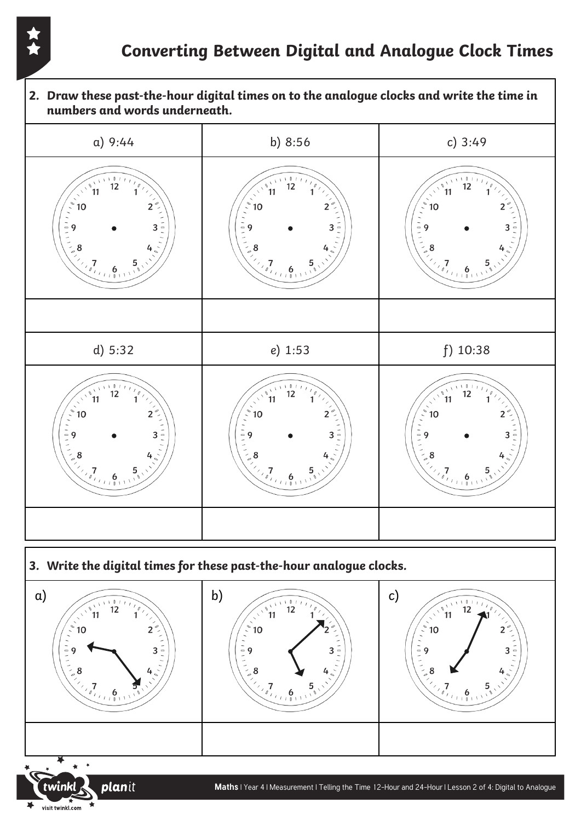planit

visit twinkl.com

**2. Draw these past-the-hour digital times on to the analogue clocks and write the time in numbers and words underneath.** a) 9:44 b) 8:56 c) 3:49  $12$  $12$  $12$  $11$  $\sqrt{1-\theta}$  $\left\langle \begin{array}{c} 1 \\ 0 \end{array} \right\rangle$  $10$  $\overline{\mathbf{2}}$ 10 10  $\overline{\phantom{a}}$  $\overline{\mathcal{L}}$  $\begin{pmatrix}\n\ddots \\
\ddots \\
\vdots \\
\ddots\n\end{pmatrix}$  $\frac{1}{2}$ <br> $\frac{1}{2}$  9  $\frac{1}{2}$  9 3 3 3 8 8 g  $\sqrt{\frac{7}{(0.40011)}}$  $\begin{array}{c}\n7 \\
\sqrt{7} \\
\hline\n\end{array}$  $\frac{1}{1}$  6 d) 5:32 e) 1:53 f) 10:38  $12$  $12$  $12$ 11 11  $\frac{1}{\ell}$  $10$  $10$  $\overline{2}$  $10$  $\overline{\phantom{a}}$  $\overline{\phantom{0}}$  $\begin{pmatrix} 2 \\ 1 \\ -1 \\ -1 \\ -1 \\ -1 \end{pmatrix}$  $\begin{pmatrix}\n\overline{-1} & 0 \\
\overline{-1} & 0 \\
\overline{-1} & \overline{-1} \\
\overline{-1} & \overline{-1}\n\end{pmatrix}$  $1 1 1 1 1$ q 3 3 3 8 8 8  $\begin{array}{c}\n7 \\
\hline\n\end{array}$  $\begin{array}{c}\n7 \\
\sqrt{7} \\
\hline\n\end{array}$ 6  $6<sub>n</sub>$ **3. Write the digital times for these past-the-hour analogue clocks.**  a) b) c)  $12$  $12$ ຶ11 ຳ1  $11$  $\mathbf{1}$  $10$  $\overline{2}$  $10$  $10$  $\overline{2}$  $\frac{1}{2}$  9  $1 0 1 1$ 9 3 3 3 8 8 8 5  $\overline{7}$ 6 6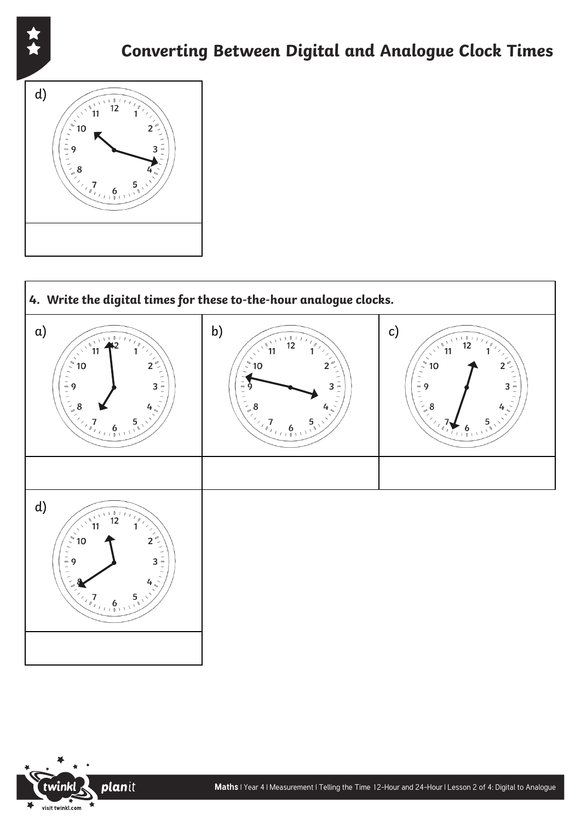





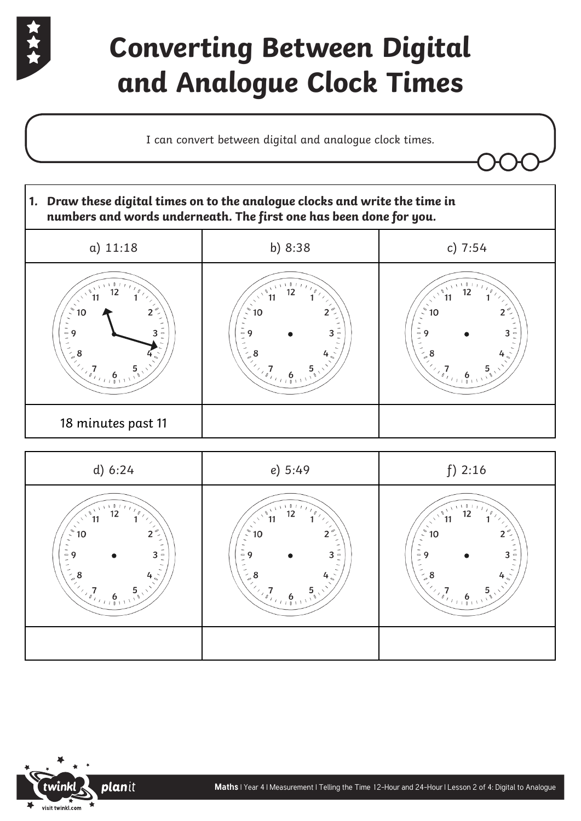

# **Converting Between Digital and Analogue Clock Times**

I can convert between digital and analogue clock times.





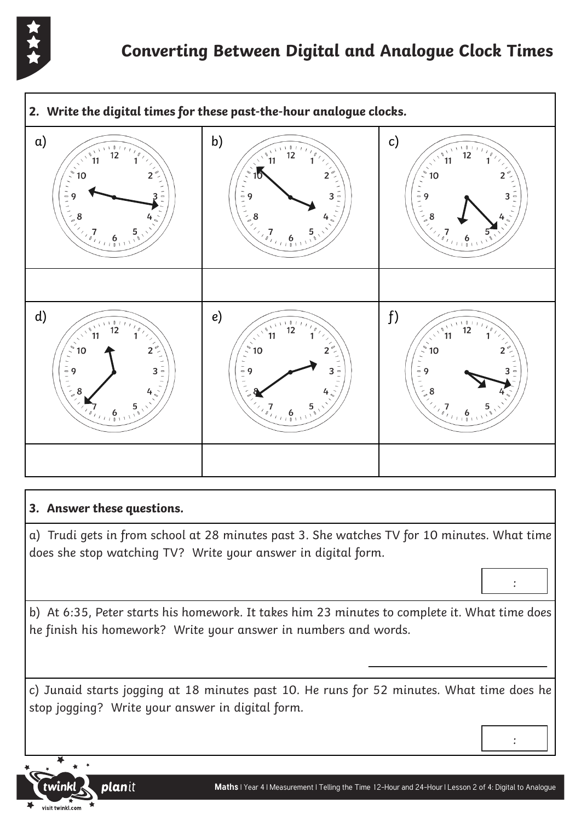



#### **3. Answer these questions.**

a) Trudi gets in from school at 28 minutes past 3. She watches TV for 10 minutes. What time does she stop watching TV? Write your answer in digital form.

b) At 6:35, Peter starts his homework. It takes him 23 minutes to complete it. What time does he finish his homework? Write your answer in numbers and words.

c) Junaid starts jogging at 18 minutes past 10. He runs for 52 minutes. What time does he stop jogging? Write your answer in digital form.

:

:

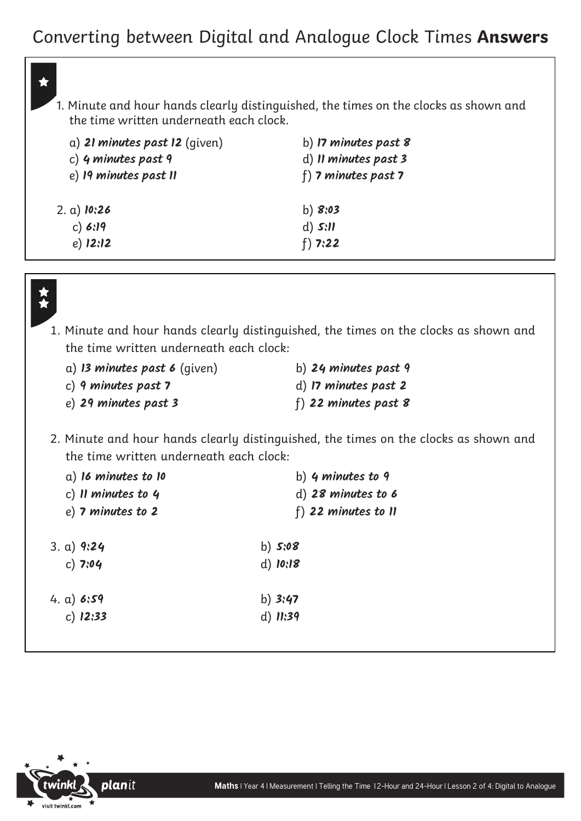### Converting between Digital and Analogue Clock Times **Answers**

1. Minute and hour hands clearly distinguished, the times on the clocks as shown and the time written underneath each clock.

| a) 21 minutes past $12$ (qiven) | b) $\bm{\mathsf{17}}$ minutes past $\bm{\mathsf{8}}$ |
|---------------------------------|------------------------------------------------------|
| c) 4 minutes past 9             | d) Il minutes past 3                                 |
| e) 19 minutes past II           | f) 7 minutes past 7                                  |
| 2. a) <b>10:26</b>              | b) $8:03$                                            |
| c) 6:19                         | d) $5:11$                                            |
| $e)$ 12:12                      | $f)$ 7:22                                            |



1. Minute and hour hands clearly distinguished, the times on the clocks as shown and the time written underneath each clock:

| a) 13 minutes past 6 (qiven) | b) 24 minutes past 9    |
|------------------------------|-------------------------|
| c) 9 minutes past $7$        | d) 17 minutes past 2    |
| e) 29 minutes past 3         | $f$ ) 22 minutes past 8 |

2. Minute and hour hands clearly distinguished, the times on the clocks as shown and the time written underneath each clock:

| $a)$ 16 minutes to 10 | b) $4$ minutes to $9$    |
|-----------------------|--------------------------|
| c) Il minutes to $4$  | d) 28 minutes to 6       |
| $e)$ 7 minutes to 2   | $f$ ) 22 minutes to $II$ |
| 3. a) $9:24$          | b) $5:08$                |
| $c)$ 7:04             | $d)$ 10:18               |
| 4. a) $6:59$          | b) $3:47$                |
| $c)$ 12:33            | d) $11:39$               |
|                       |                          |